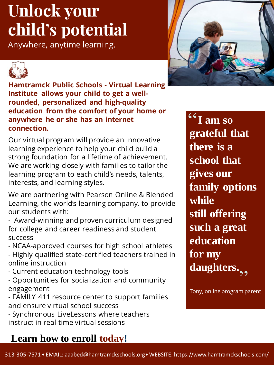## **Unlock your child's potential**

Anywhere, anytime learning.





**Hamtramck Public Schools - Virtual Learning Institute allows your child to get a wellrounded, personalized and high-quality education from the comfort of your home or anywhere he or she has an internet connection.**

Our virtual program will provide an innovative learning experience to help your child build a strong foundation for a lifetime of achievement. We are working closely with families to tailor the learning program to each child's needs, talents, interests, and learning styles.

We are partnering with Pearson Online & Blended Learning, the world's learning company, to provide our students with:

- Award-winning and proven curriculum designed for college and career readiness and student success

- NCAA-approved courses for high school athletes - Highly qualified state-certified teachers trained in online instruction

- Current education technology tools
- Opportunities for socialization and community engagement

- FAMILY 411 resource center to support families and ensure virtual school success

- Synchronous LiveLessons where teachers instruct in real-time virtual sessions

### **Learn how to enroll today!**

**I am so grateful that there is a school that gives our family options while still offering such a great education for my**  daughters.<sub>,,</sub>  $\overline{\overline{66}}$ 

Tony, online program parent